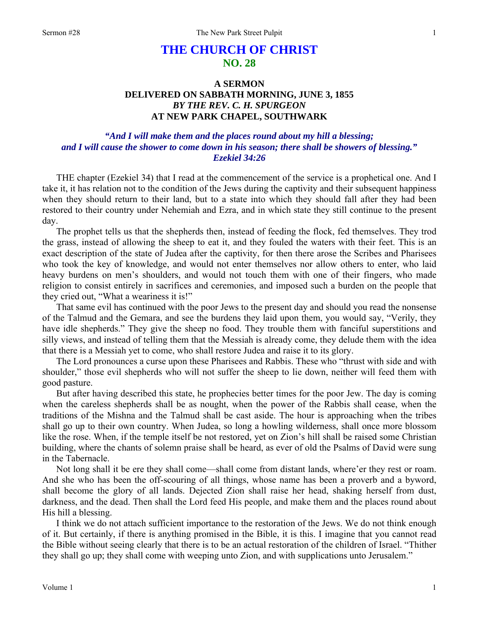# **THE CHURCH OF CHRIST NO. 28**

# **A SERMON DELIVERED ON SABBATH MORNING, JUNE 3, 1855**  *BY THE REV. C. H. SPURGEON*  **AT NEW PARK CHAPEL, SOUTHWARK**

#### *"And I will make them and the places round about my hill a blessing; and I will cause the shower to come down in his season; there shall be showers of blessing." Ezekiel 34:26*

THE chapter (Ezekiel 34) that I read at the commencement of the service is a prophetical one. And I take it, it has relation not to the condition of the Jews during the captivity and their subsequent happiness when they should return to their land, but to a state into which they should fall after they had been restored to their country under Nehemiah and Ezra, and in which state they still continue to the present day.

The prophet tells us that the shepherds then, instead of feeding the flock, fed themselves. They trod the grass, instead of allowing the sheep to eat it, and they fouled the waters with their feet. This is an exact description of the state of Judea after the captivity, for then there arose the Scribes and Pharisees who took the key of knowledge, and would not enter themselves nor allow others to enter, who laid heavy burdens on men's shoulders, and would not touch them with one of their fingers, who made religion to consist entirely in sacrifices and ceremonies, and imposed such a burden on the people that they cried out, "What a weariness it is!"

That same evil has continued with the poor Jews to the present day and should you read the nonsense of the Talmud and the Gemara, and see the burdens they laid upon them, you would say, "Verily, they have idle shepherds." They give the sheep no food. They trouble them with fanciful superstitions and silly views, and instead of telling them that the Messiah is already come, they delude them with the idea that there is a Messiah yet to come, who shall restore Judea and raise it to its glory.

The Lord pronounces a curse upon these Pharisees and Rabbis. These who "thrust with side and with shoulder," those evil shepherds who will not suffer the sheep to lie down, neither will feed them with good pasture.

But after having described this state, he prophecies better times for the poor Jew. The day is coming when the careless shepherds shall be as nought, when the power of the Rabbis shall cease, when the traditions of the Mishna and the Talmud shall be cast aside. The hour is approaching when the tribes shall go up to their own country. When Judea, so long a howling wilderness, shall once more blossom like the rose. When, if the temple itself be not restored, yet on Zion's hill shall be raised some Christian building, where the chants of solemn praise shall be heard, as ever of old the Psalms of David were sung in the Tabernacle.

Not long shall it be ere they shall come—shall come from distant lands, where'er they rest or roam. And she who has been the off-scouring of all things, whose name has been a proverb and a byword, shall become the glory of all lands. Dejected Zion shall raise her head, shaking herself from dust, darkness, and the dead. Then shall the Lord feed His people, and make them and the places round about His hill a blessing.

I think we do not attach sufficient importance to the restoration of the Jews. We do not think enough of it. But certainly, if there is anything promised in the Bible, it is this. I imagine that you cannot read the Bible without seeing clearly that there is to be an actual restoration of the children of Israel. "Thither they shall go up; they shall come with weeping unto Zion, and with supplications unto Jerusalem."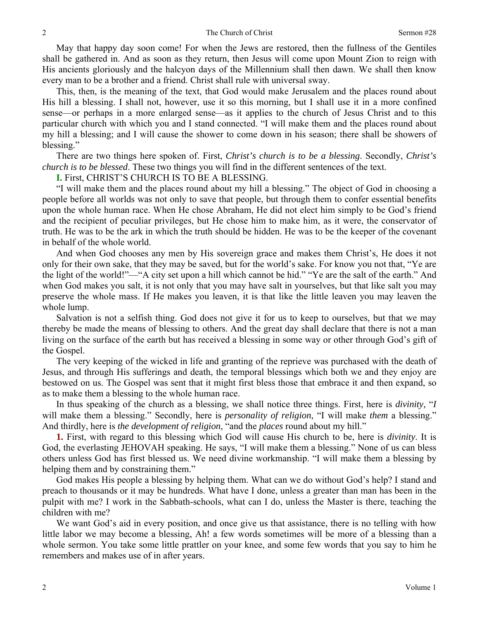May that happy day soon come! For when the Jews are restored, then the fullness of the Gentiles shall be gathered in. And as soon as they return, then Jesus will come upon Mount Zion to reign with His ancients gloriously and the halcyon days of the Millennium shall then dawn. We shall then know every man to be a brother and a friend. Christ shall rule with universal sway.

This, then, is the meaning of the text, that God would make Jerusalem and the places round about His hill a blessing. I shall not, however, use it so this morning, but I shall use it in a more confined sense—or perhaps in a more enlarged sense—as it applies to the church of Jesus Christ and to this particular church with which you and I stand connected. "I will make them and the places round about my hill a blessing; and I will cause the shower to come down in his season; there shall be showers of blessing."

There are two things here spoken of. First, *Christ's church is to be a blessing*. Secondly, *Christ's church is to be blessed*. These two things you will find in the different sentences of the text.

**I.** First, CHRIST'S CHURCH IS TO BE A BLESSING.

"I will make them and the places round about my hill a blessing." The object of God in choosing a people before all worlds was not only to save that people, but through them to confer essential benefits upon the whole human race. When He chose Abraham, He did not elect him simply to be God's friend and the recipient of peculiar privileges, but He chose him to make him, as it were, the conservator of truth. He was to be the ark in which the truth should be hidden. He was to be the keeper of the covenant in behalf of the whole world.

And when God chooses any men by His sovereign grace and makes them Christ's, He does it not only for their own sake, that they may be saved, but for the world's sake. For know you not that, "Ye are the light of the world!"—"A city set upon a hill which cannot be hid." "Ye are the salt of the earth." And when God makes you salt, it is not only that you may have salt in yourselves, but that like salt you may preserve the whole mass. If He makes you leaven, it is that like the little leaven you may leaven the whole lump.

Salvation is not a selfish thing. God does not give it for us to keep to ourselves, but that we may thereby be made the means of blessing to others. And the great day shall declare that there is not a man living on the surface of the earth but has received a blessing in some way or other through God's gift of the Gospel.

The very keeping of the wicked in life and granting of the reprieve was purchased with the death of Jesus, and through His sufferings and death, the temporal blessings which both we and they enjoy are bestowed on us. The Gospel was sent that it might first bless those that embrace it and then expand, so as to make them a blessing to the whole human race.

In thus speaking of the church as a blessing, we shall notice three things. First, here is *divinity,* "*I* will make them a blessing." Secondly, here is *personality of religion*, "I will make *them* a blessing." And thirdly, here is *the development of religion*, "and the *places* round about my hill."

**1.** First, with regard to this blessing which God will cause His church to be, here is *divinity*. It is God, the everlasting JEHOVAH speaking. He says, "I will make them a blessing." None of us can bless others unless God has first blessed us. We need divine workmanship. "I will make them a blessing by helping them and by constraining them."

God makes His people a blessing by helping them. What can we do without God's help? I stand and preach to thousands or it may be hundreds. What have I done, unless a greater than man has been in the pulpit with me? I work in the Sabbath-schools, what can I do, unless the Master is there, teaching the children with me?

We want God's aid in every position, and once give us that assistance, there is no telling with how little labor we may become a blessing, Ah! a few words sometimes will be more of a blessing than a whole sermon. You take some little prattler on your knee, and some few words that you say to him he remembers and makes use of in after years.

2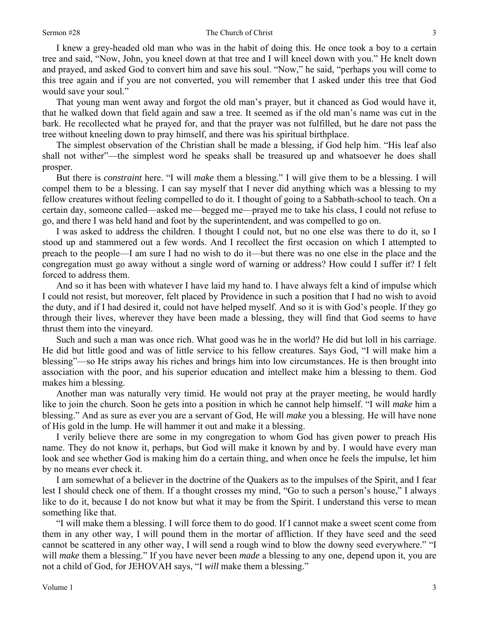I knew a grey-headed old man who was in the habit of doing this. He once took a boy to a certain tree and said, "Now, John, you kneel down at that tree and I will kneel down with you." He knelt down and prayed, and asked God to convert him and save his soul. "Now," he said, "perhaps you will come to this tree again and if you are not converted, you will remember that I asked under this tree that God would save your soul."

That young man went away and forgot the old man's prayer, but it chanced as God would have it, that he walked down that field again and saw a tree. It seemed as if the old man's name was cut in the bark. He recollected what he prayed for, and that the prayer was not fulfilled, but he dare not pass the tree without kneeling down to pray himself, and there was his spiritual birthplace.

The simplest observation of the Christian shall be made a blessing, if God help him. "His leaf also shall not wither"—the simplest word he speaks shall be treasured up and whatsoever he does shall prosper.

But there is *constraint* here. "I will *make* them a blessing." I will give them to be a blessing. I will compel them to be a blessing. I can say myself that I never did anything which was a blessing to my fellow creatures without feeling compelled to do it. I thought of going to a Sabbath-school to teach. On a certain day, someone called—asked me—begged me—prayed me to take his class, I could not refuse to go, and there I was held hand and foot by the superintendent, and was compelled to go on.

I was asked to address the children. I thought I could not, but no one else was there to do it, so I stood up and stammered out a few words. And I recollect the first occasion on which I attempted to preach to the people—I am sure I had no wish to do it—but there was no one else in the place and the congregation must go away without a single word of warning or address? How could I suffer it? I felt forced to address them.

And so it has been with whatever I have laid my hand to. I have always felt a kind of impulse which I could not resist, but moreover, felt placed by Providence in such a position that I had no wish to avoid the duty, and if I had desired it, could not have helped myself. And so it is with God's people. If they go through their lives, wherever they have been made a blessing, they will find that God seems to have thrust them into the vineyard.

Such and such a man was once rich. What good was he in the world? He did but loll in his carriage. He did but little good and was of little service to his fellow creatures. Says God, "I will make him a blessing"—so He strips away his riches and brings him into low circumstances. He is then brought into association with the poor, and his superior education and intellect make him a blessing to them. God makes him a blessing.

Another man was naturally very timid. He would not pray at the prayer meeting, he would hardly like to join the church. Soon he gets into a position in which he cannot help himself. "I will *make* him a blessing." And as sure as ever you are a servant of God, He will *make* you a blessing. He will have none of His gold in the lump. He will hammer it out and make it a blessing.

I verily believe there are some in my congregation to whom God has given power to preach His name. They do not know it, perhaps, but God will make it known by and by. I would have every man look and see whether God is making him do a certain thing, and when once he feels the impulse, let him by no means ever check it.

I am somewhat of a believer in the doctrine of the Quakers as to the impulses of the Spirit, and I fear lest I should check one of them. If a thought crosses my mind, "Go to such a person's house," I always like to do it, because I do not know but what it may be from the Spirit. I understand this verse to mean something like that.

"I will make them a blessing. I will force them to do good. If I cannot make a sweet scent come from them in any other way, I will pound them in the mortar of affliction. If they have seed and the seed cannot be scattered in any other way, I will send a rough wind to blow the downy seed everywhere." "I will *make* them a blessing." If you have never been *made* a blessing to any one, depend upon it, you are not a child of God, for JEHOVAH says, "I *will* make them a blessing."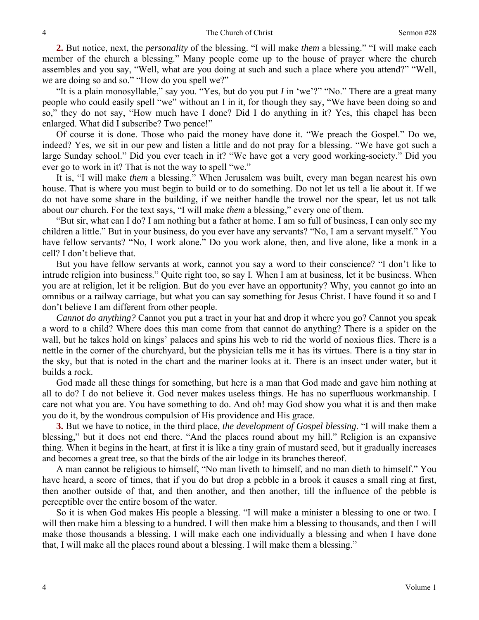**2.** But notice, next, the *personality* of the blessing. "I will make *them* a blessing." "I will make each member of the church a blessing." Many people come up to the house of prayer where the church assembles and you say, "Well, what are you doing at such and such a place where you attend?" "Well, *we* are doing so and so." "How do you spell we?"

"It is a plain monosyllable," say you. "Yes, but do you put *I* in 'we'?" "No." There are a great many people who could easily spell "we" without an I in it, for though they say, "We have been doing so and so," they do not say, "How much have I done? Did I do anything in it? Yes, this chapel has been enlarged. What did I subscribe? Two pence!"

Of course it is done. Those who paid the money have done it. "We preach the Gospel." Do we, indeed? Yes, we sit in our pew and listen a little and do not pray for a blessing. "We have got such a large Sunday school." Did you ever teach in it? "We have got a very good working-society." Did you ever go to work in it? That is not the way to spell "we."

It is, "I will make *them* a blessing." When Jerusalem was built, every man began nearest his own house. That is where you must begin to build or to do something. Do not let us tell a lie about it. If we do not have some share in the building, if we neither handle the trowel nor the spear, let us not talk about *our* church. For the text says, "I will make *them* a blessing," every one of them.

"But sir, what can I do? I am nothing but a father at home. I am so full of business, I can only see my children a little." But in your business, do you ever have any servants? "No, I am a servant myself." You have fellow servants? "No, I work alone." Do you work alone, then, and live alone, like a monk in a cell? I don't believe that.

But you have fellow servants at work, cannot you say a word to their conscience? "I don't like to intrude religion into business." Quite right too, so say I. When I am at business, let it be business. When you are at religion, let it be religion. But do you ever have an opportunity? Why, you cannot go into an omnibus or a railway carriage, but what you can say something for Jesus Christ. I have found it so and I don't believe I am different from other people.

*Cannot do anything?* Cannot you put a tract in your hat and drop it where you go? Cannot you speak a word to a child? Where does this man come from that cannot do anything? There is a spider on the wall, but he takes hold on kings' palaces and spins his web to rid the world of noxious flies. There is a nettle in the corner of the churchyard, but the physician tells me it has its virtues. There is a tiny star in the sky, but that is noted in the chart and the mariner looks at it. There is an insect under water, but it builds a rock.

God made all these things for something, but here is a man that God made and gave him nothing at all to do? I do not believe it. God never makes useless things. He has no superfluous workmanship. I care not what you are. You have something to do. And oh! may God show you what it is and then make you do it, by the wondrous compulsion of His providence and His grace.

**3.** But we have to notice, in the third place, *the development of Gospel blessing*. "I will make them a blessing," but it does not end there. "And the places round about my hill." Religion is an expansive thing. When it begins in the heart, at first it is like a tiny grain of mustard seed, but it gradually increases and becomes a great tree, so that the birds of the air lodge in its branches thereof.

A man cannot be religious to himself, "No man liveth to himself, and no man dieth to himself." You have heard, a score of times, that if you do but drop a pebble in a brook it causes a small ring at first, then another outside of that, and then another, and then another, till the influence of the pebble is perceptible over the entire bosom of the water.

So it is when God makes His people a blessing. "I will make a minister a blessing to one or two. I will then make him a blessing to a hundred. I will then make him a blessing to thousands, and then I will make those thousands a blessing. I will make each one individually a blessing and when I have done that, I will make all the places round about a blessing. I will make them a blessing."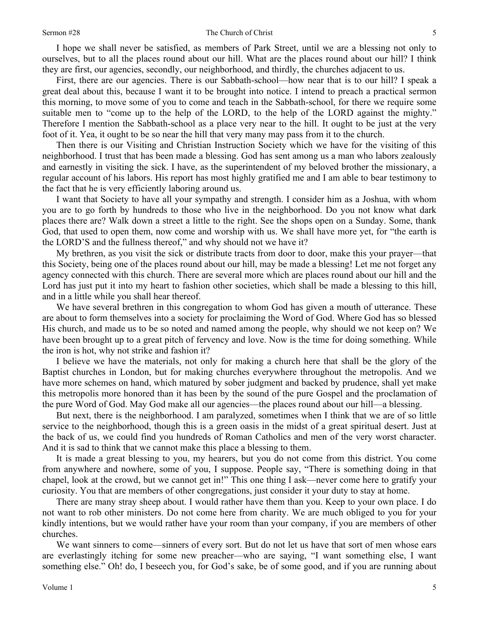#### Sermon #28 The Church of Christ

I hope we shall never be satisfied, as members of Park Street, until we are a blessing not only to ourselves, but to all the places round about our hill. What are the places round about our hill? I think they are first, our agencies, secondly, our neighborhood, and thirdly, the churches adjacent to us.

First, there are our agencies. There is our Sabbath-school—how near that is to our hill? I speak a great deal about this, because I want it to be brought into notice. I intend to preach a practical sermon this morning, to move some of you to come and teach in the Sabbath-school, for there we require some suitable men to "come up to the help of the LORD, to the help of the LORD against the mighty." Therefore I mention the Sabbath-school as a place very near to the hill. It ought to be just at the very foot of it. Yea, it ought to be so near the hill that very many may pass from it to the church.

Then there is our Visiting and Christian Instruction Society which we have for the visiting of this neighborhood. I trust that has been made a blessing. God has sent among us a man who labors zealously and earnestly in visiting the sick. I have, as the superintendent of my beloved brother the missionary, a regular account of his labors. His report has most highly gratified me and I am able to bear testimony to the fact that he is very efficiently laboring around us.

I want that Society to have all your sympathy and strength. I consider him as a Joshua, with whom you are to go forth by hundreds to those who live in the neighborhood. Do you not know what dark places there are? Walk down a street a little to the right. See the shops open on a Sunday. Some, thank God, that used to open them, now come and worship with us. We shall have more yet, for "the earth is the LORD'S and the fullness thereof," and why should not we have it?

My brethren, as you visit the sick or distribute tracts from door to door, make this your prayer—that this Society, being one of the places round about our hill, may be made a blessing! Let me not forget any agency connected with this church. There are several more which are places round about our hill and the Lord has just put it into my heart to fashion other societies, which shall be made a blessing to this hill, and in a little while you shall hear thereof.

We have several brethren in this congregation to whom God has given a mouth of utterance. These are about to form themselves into a society for proclaiming the Word of God. Where God has so blessed His church, and made us to be so noted and named among the people, why should we not keep on? We have been brought up to a great pitch of fervency and love. Now is the time for doing something. While the iron is hot, why not strike and fashion it?

I believe we have the materials, not only for making a church here that shall be the glory of the Baptist churches in London, but for making churches everywhere throughout the metropolis. And we have more schemes on hand, which matured by sober judgment and backed by prudence, shall yet make this metropolis more honored than it has been by the sound of the pure Gospel and the proclamation of the pure Word of God. May God make all our agencies—the places round about our hill—a blessing.

But next, there is the neighborhood. I am paralyzed, sometimes when I think that we are of so little service to the neighborhood, though this is a green oasis in the midst of a great spiritual desert. Just at the back of us, we could find you hundreds of Roman Catholics and men of the very worst character. And it is sad to think that we cannot make this place a blessing to them.

It is made a great blessing to you, my hearers, but you do not come from this district. You come from anywhere and nowhere, some of you, I suppose. People say, "There is something doing in that chapel, look at the crowd, but we cannot get in!" This one thing I ask—never come here to gratify your curiosity. You that are members of other congregations, just consider it your duty to stay at home.

There are many stray sheep about. I would rather have them than you. Keep to your own place. I do not want to rob other ministers. Do not come here from charity. We are much obliged to you for your kindly intentions, but we would rather have your room than your company, if you are members of other churches.

We want sinners to come—sinners of every sort. But do not let us have that sort of men whose ears are everlastingly itching for some new preacher—who are saying, "I want something else, I want something else." Oh! do, I beseech you, for God's sake, be of some good, and if you are running about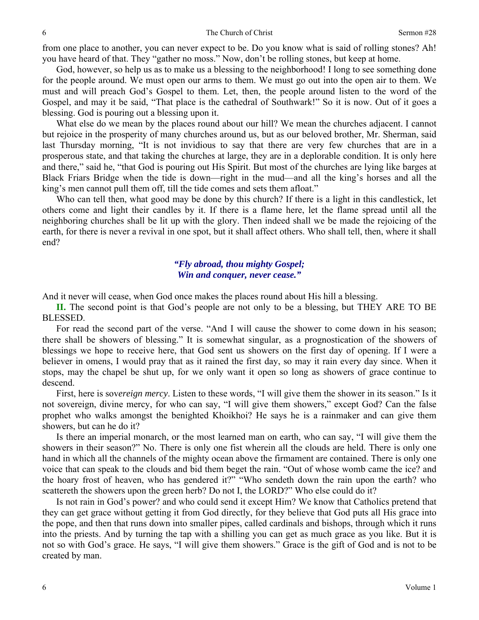from one place to another, you can never expect to be. Do you know what is said of rolling stones? Ah! you have heard of that. They "gather no moss." Now, don't be rolling stones, but keep at home.

God, however, so help us as to make us a blessing to the neighborhood! I long to see something done for the people around. We must open our arms to them. We must go out into the open air to them. We must and will preach God's Gospel to them. Let, then, the people around listen to the word of the Gospel, and may it be said, "That place is the cathedral of Southwark!" So it is now. Out of it goes a blessing. God is pouring out a blessing upon it.

What else do we mean by the places round about our hill? We mean the churches adjacent. I cannot but rejoice in the prosperity of many churches around us, but as our beloved brother, Mr. Sherman, said last Thursday morning, "It is not invidious to say that there are very few churches that are in a prosperous state, and that taking the churches at large, they are in a deplorable condition. It is only here and there," said he, "that God is pouring out His Spirit. But most of the churches are lying like barges at Black Friars Bridge when the tide is down—right in the mud—and all the king's horses and all the king's men cannot pull them off, till the tide comes and sets them afloat."

Who can tell then, what good may be done by this church? If there is a light in this candlestick, let others come and light their candles by it. If there is a flame here, let the flame spread until all the neighboring churches shall be lit up with the glory. Then indeed shall we be made the rejoicing of the earth, for there is never a revival in one spot, but it shall affect others. Who shall tell, then, where it shall end?

### *"Fly abroad, thou mighty Gospel; Win and conquer, never cease."*

And it never will cease, when God once makes the places round about His hill a blessing.

**II.** The second point is that God's people are not only to be a blessing, but THEY ARE TO BE BLESSED.

For read the second part of the verse. "And I will cause the shower to come down in his season; there shall be showers of blessing." It is somewhat singular, as a prognostication of the showers of blessings we hope to receive here, that God sent us showers on the first day of opening. If I were a believer in omens, I would pray that as it rained the first day, so may it rain every day since. When it stops, may the chapel be shut up, for we only want it open so long as showers of grace continue to descend.

First, here is sov*ereign mercy*. Listen to these words, "I will give them the shower in its season." Is it not sovereign, divine mercy, for who can say, "I will give them showers," except God? Can the false prophet who walks amongst the benighted Khoikhoi? He says he is a rainmaker and can give them showers, but can he do it?

Is there an imperial monarch, or the most learned man on earth, who can say, "I will give them the showers in their season?" No. There is only one fist wherein all the clouds are held. There is only one hand in which all the channels of the mighty ocean above the firmament are contained. There is only one voice that can speak to the clouds and bid them beget the rain. "Out of whose womb came the ice? and the hoary frost of heaven, who has gendered it?" "Who sendeth down the rain upon the earth? who scattereth the showers upon the green herb? Do not I, the LORD?" Who else could do it?

Is not rain in God's power? and who could send it except Him? We know that Catholics pretend that they can get grace without getting it from God directly, for they believe that God puts all His grace into the pope, and then that runs down into smaller pipes, called cardinals and bishops, through which it runs into the priests. And by turning the tap with a shilling you can get as much grace as you like. But it is not so with God's grace. He says, "I will give them showers." Grace is the gift of God and is not to be created by man.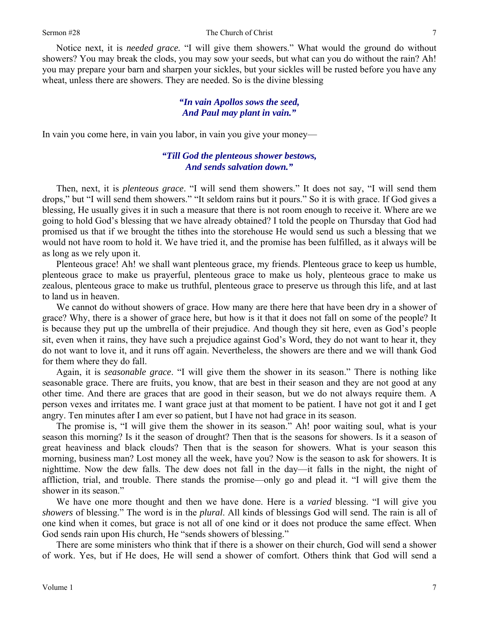Notice next, it is *needed grace.* "I will give them showers." What would the ground do without showers? You may break the clods, you may sow your seeds, but what can you do without the rain? Ah! you may prepare your barn and sharpen your sickles, but your sickles will be rusted before you have any wheat, unless there are showers. They are needed. So is the divine blessing

#### *"In vain Apollos sows the seed, And Paul may plant in vain."*

In vain you come here, in vain you labor, in vain you give your money—

## *"Till God the plenteous shower bestows, And sends salvation down."*

Then, next, it is *plenteous grace*. "I will send them showers." It does not say, "I will send them drops," but "I will send them showers." "It seldom rains but it pours." So it is with grace. If God gives a blessing, He usually gives it in such a measure that there is not room enough to receive it. Where are we going to hold God's blessing that we have already obtained? I told the people on Thursday that God had promised us that if we brought the tithes into the storehouse He would send us such a blessing that we would not have room to hold it. We have tried it, and the promise has been fulfilled, as it always will be as long as we rely upon it.

Plenteous grace! Ah! we shall want plenteous grace, my friends. Plenteous grace to keep us humble, plenteous grace to make us prayerful, plenteous grace to make us holy, plenteous grace to make us zealous, plenteous grace to make us truthful, plenteous grace to preserve us through this life, and at last to land us in heaven.

We cannot do without showers of grace. How many are there here that have been dry in a shower of grace? Why, there is a shower of grace here, but how is it that it does not fall on some of the people? It is because they put up the umbrella of their prejudice. And though they sit here, even as God's people sit, even when it rains, they have such a prejudice against God's Word, they do not want to hear it, they do not want to love it, and it runs off again. Nevertheless, the showers are there and we will thank God for them where they do fall.

Again, it is *seasonable grace*. "I will give them the shower in its season." There is nothing like seasonable grace. There are fruits, you know, that are best in their season and they are not good at any other time. And there are graces that are good in their season, but we do not always require them. A person vexes and irritates me. I want grace just at that moment to be patient. I have not got it and I get angry. Ten minutes after I am ever so patient, but I have not had grace in its season.

The promise is, "I will give them the shower in its season." Ah! poor waiting soul, what is your season this morning? Is it the season of drought? Then that is the seasons for showers. Is it a season of great heaviness and black clouds? Then that is the season for showers. What is your season this morning, business man? Lost money all the week, have you? Now is the season to ask for showers. It is nighttime. Now the dew falls. The dew does not fall in the day—it falls in the night, the night of affliction, trial, and trouble. There stands the promise—only go and plead it. "I will give them the shower in its season."

We have one more thought and then we have done. Here is a *varied* blessing. "I will give you *showers* of blessing." The word is in the *plural*. All kinds of blessings God will send. The rain is all of one kind when it comes, but grace is not all of one kind or it does not produce the same effect. When God sends rain upon His church, He "sends showers of blessing."

There are some ministers who think that if there is a shower on their church, God will send a shower of work. Yes, but if He does, He will send a shower of comfort. Others think that God will send a